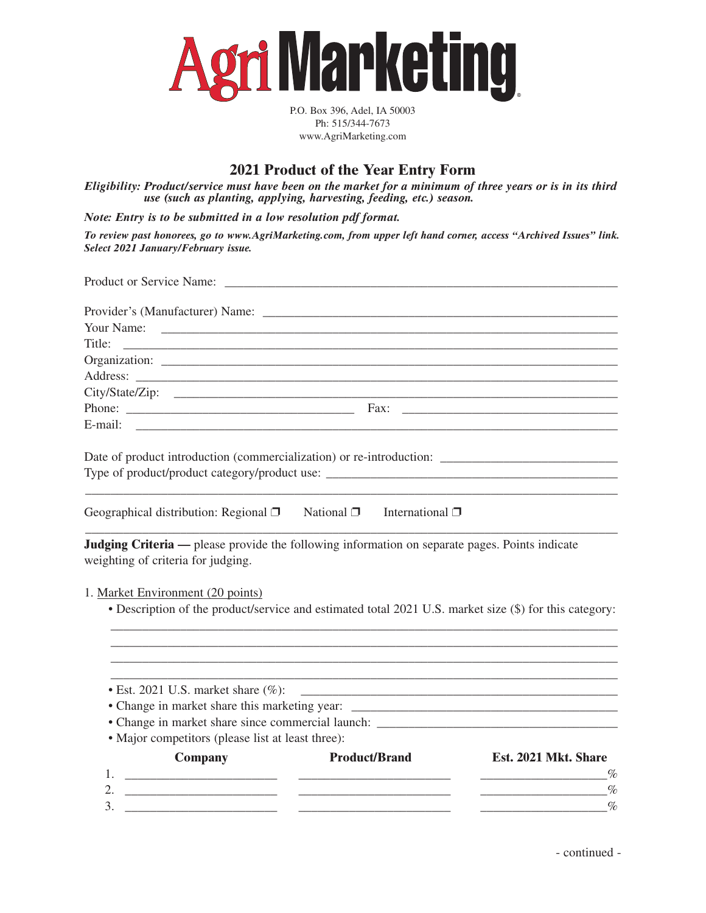

P.O. Box 396, Adel, IA 50003 Ph: 515/344-7673 www.AgriMarketing.com

## **2021 Product of the Year Entry Form**

*Eligibility: Product/service must have been on the market for a minimum of three years or is in its third use (such as planting, applying, harvesting, feeding, etc.) season.*

*Note: Entry is to be submitted in a low resolution pdf format.*

*To review past honorees, go to www.AgriMarketing.com, from upper left hand corner, access "Archived Issues" link. Select 2021 January/February issue.*

| Your Name:                                                                                                                                  | <u> 1989 - Jan Barnett, fransk politiker (d. 1989)</u> |                                                                                                                       |
|---------------------------------------------------------------------------------------------------------------------------------------------|--------------------------------------------------------|-----------------------------------------------------------------------------------------------------------------------|
|                                                                                                                                             |                                                        |                                                                                                                       |
|                                                                                                                                             |                                                        |                                                                                                                       |
|                                                                                                                                             |                                                        |                                                                                                                       |
|                                                                                                                                             |                                                        |                                                                                                                       |
|                                                                                                                                             |                                                        |                                                                                                                       |
|                                                                                                                                             |                                                        |                                                                                                                       |
|                                                                                                                                             |                                                        |                                                                                                                       |
| Geographical distribution: Regional $\Box$ National $\Box$                                                                                  | International $\Box$                                   |                                                                                                                       |
| Judging Criteria — please provide the following information on separate pages. Points indicate<br>weighting of criteria for judging.        |                                                        |                                                                                                                       |
| 1. Market Environment (20 points)<br>• Description of the product/service and estimated total 2021 U.S. market size (\$) for this category: |                                                        |                                                                                                                       |
|                                                                                                                                             |                                                        |                                                                                                                       |
| • Est. 2021 U.S. market share $(\%):$                                                                                                       |                                                        | <u> 1989 - Johann Barn, amerikan bernama di sebagai bernama dalam pengaran bernama dalam bernama dalam pengaran b</u> |
|                                                                                                                                             |                                                        |                                                                                                                       |
|                                                                                                                                             |                                                        |                                                                                                                       |
| • Major competitors (please list at least three):                                                                                           |                                                        |                                                                                                                       |
| <b>Company</b>                                                                                                                              | <b>Product/Brand</b>                                   | Est. 2021 Mkt. Share                                                                                                  |
| 1.<br><u> Territoria de la contenentación de la contenentación de la contenentación de la contenentación de la contene</u>                  |                                                        |                                                                                                                       |
|                                                                                                                                             |                                                        | $\%$<br><u> 1990 - Johann Barbara, martin a</u>                                                                       |
| 3.<br><u> 2000 - Januar Alexander (h. 1878).</u>                                                                                            |                                                        | $\%$                                                                                                                  |
|                                                                                                                                             |                                                        |                                                                                                                       |